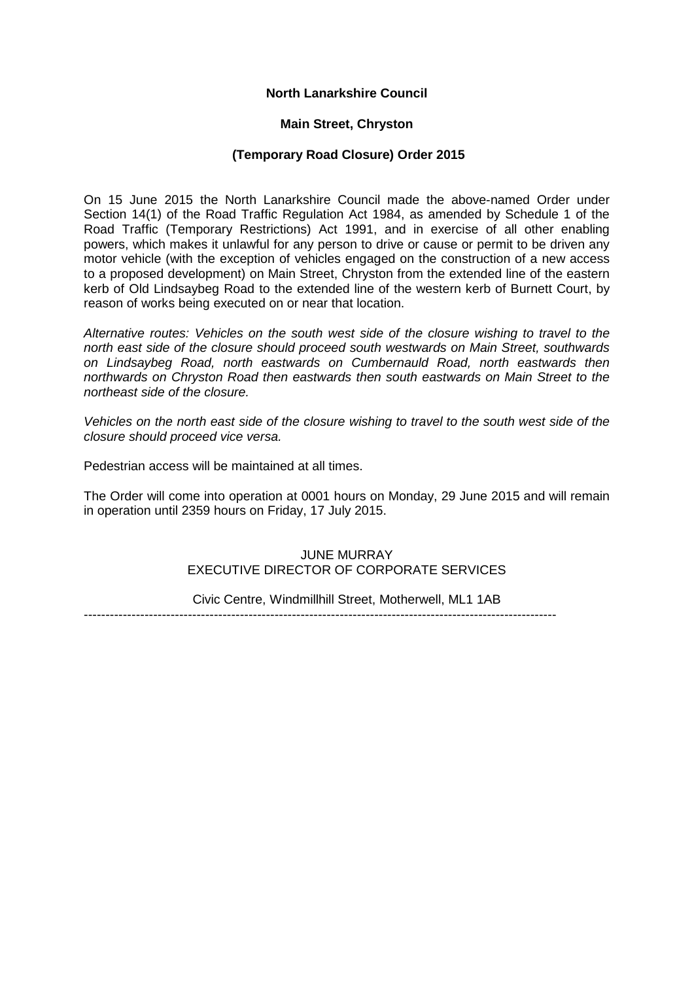# **North Lanarkshire Council**

#### **Main Street, Chryston**

#### **(Temporary Road Closure) Order 2015**

On 15 June 2015 the North Lanarkshire Council made the above-named Order under Section 14(1) of the Road Traffic Regulation Act 1984, as amended by Schedule 1 of the Road Traffic (Temporary Restrictions) Act 1991, and in exercise of all other enabling powers, which makes it unlawful for any person to drive or cause or permit to be driven any motor vehicle (with the exception of vehicles engaged on the construction of a new access to a proposed development) on Main Street, Chryston from the extended line of the eastern kerb of Old Lindsaybeg Road to the extended line of the western kerb of Burnett Court, by reason of works being executed on or near that location.

*Alternative routes: Vehicles on the south west side of the closure wishing to travel to the north east side of the closure should proceed south westwards on Main Street, southwards on Lindsaybeg Road, north eastwards on Cumbernauld Road, north eastwards then northwards on Chryston Road then eastwards then south eastwards on Main Street to the northeast side of the closure.*

*Vehicles on the north east side of the closure wishing to travel to the south west side of the closure should proceed vice versa.*

Pedestrian access will be maintained at all times.

The Order will come into operation at 0001 hours on Monday, 29 June 2015 and will remain in operation until 2359 hours on Friday, 17 July 2015.

# JUNE MURRAY EXECUTIVE DIRECTOR OF CORPORATE SERVICES

Civic Centre, Windmillhill Street, Motherwell, ML1 1AB

-------------------------------------------------------------------------------------------------------------